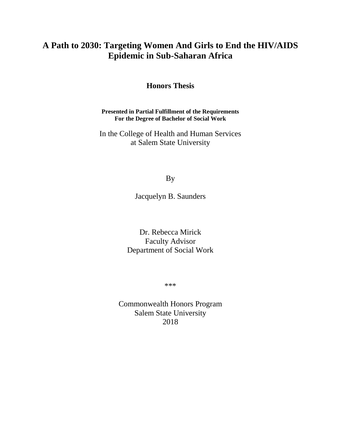# **A Path to 2030: Targeting Women And Girls to End the HIV/AIDS Epidemic in Sub-Saharan Africa**

## **Honors Thesis**

**Presented in Partial Fulfillment of the Requirements For the Degree of Bachelor of Social Work**

In the College of Health and Human Services at Salem State University

By

Jacquelyn B. Saunders

Dr. Rebecca Mirick Faculty Advisor Department of Social Work

\*\*\*

Commonwealth Honors Program Salem State University 2018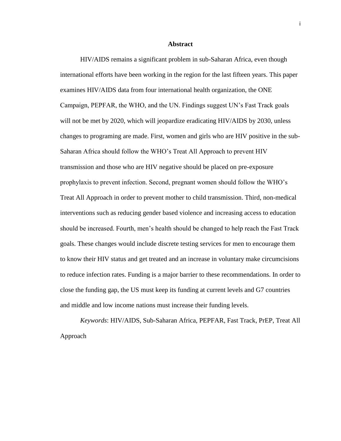#### **Abstract**

<span id="page-1-0"></span>HIV/AIDS remains a significant problem in sub-Saharan Africa, even though international efforts have been working in the region for the last fifteen years. This paper examines HIV/AIDS data from four international health organization, the ONE Campaign, PEPFAR, the WHO, and the UN. Findings suggest UN's Fast Track goals will not be met by 2020, which will jeopardize eradicating HIV/AIDS by 2030, unless changes to programing are made. First, women and girls who are HIV positive in the sub-Saharan Africa should follow the WHO's Treat All Approach to prevent HIV transmission and those who are HIV negative should be placed on pre-exposure prophylaxis to prevent infection. Second, pregnant women should follow the WHO's Treat All Approach in order to prevent mother to child transmission. Third, non-medical interventions such as reducing gender based violence and increasing access to education should be increased. Fourth, men's health should be changed to help reach the Fast Track goals. These changes would include discrete testing services for men to encourage them to know their HIV status and get treated and an increase in voluntary make circumcisions to reduce infection rates. Funding is a major barrier to these recommendations. In order to close the funding gap, the US must keep its funding at current levels and G7 countries and middle and low income nations must increase their funding levels.

*Keywords*: HIV/AIDS, Sub-Saharan Africa, PEPFAR, Fast Track, PrEP, Treat All Approach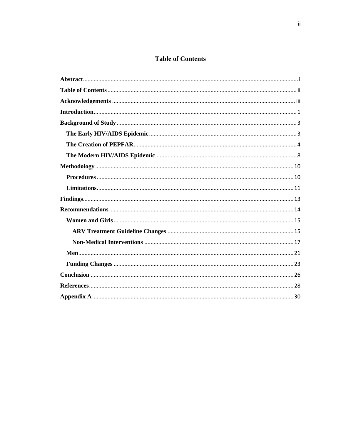## **Table of Contents**

<span id="page-2-0"></span>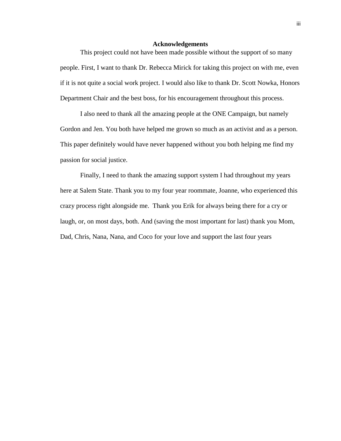#### **Acknowledgements**

<span id="page-3-0"></span>This project could not have been made possible without the support of so many people. First, I want to thank Dr. Rebecca Mirick for taking this project on with me, even if it is not quite a social work project. I would also like to thank Dr. Scott Nowka, Honors Department Chair and the best boss, for his encouragement throughout this process.

I also need to thank all the amazing people at the ONE Campaign, but namely Gordon and Jen. You both have helped me grown so much as an activist and as a person. This paper definitely would have never happened without you both helping me find my passion for social justice.

Finally, I need to thank the amazing support system I had throughout my years here at Salem State. Thank you to my four year roommate, Joanne, who experienced this crazy process right alongside me. Thank you Erik for always being there for a cry or laugh, or, on most days, both. And (saving the most important for last) thank you Mom, Dad, Chris, Nana, Nana, and Coco for your love and support the last four years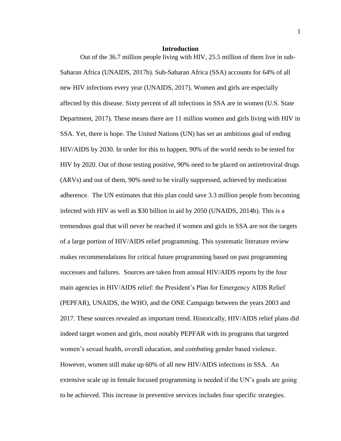#### **Introduction**

<span id="page-4-0"></span>Out of the 36.7 million people living with HIV, 25.5 million of them live in sub-Saharan Africa (UNAIDS, 2017b). Sub-Saharan Africa (SSA) accounts for 64% of all new HIV infections every year (UNAIDS, 2017). Women and girls are especially affected by this disease. Sixty percent of all infections in SSA are in women (U.S. State Department, 2017). These means there are 11 million women and girls living with HIV in SSA. Yet, there is hope. The United Nations (UN) has set an ambitious goal of ending HIV/AIDS by 2030. In order for this to happen, 90% of the world needs to be tested for HIV by 2020. Out of those testing positive, 90% need to be placed on antiretroviral drugs (ARVs) and out of them, 90% need to be virally suppressed, achieved by medication adherence. The UN estimates that this plan could save 3.3 million people from becoming infected with HIV as well as \$30 billion in aid by 2050 (UNAIDS, 2014b). This is a tremendous goal that will never be reached if women and girls in SSA are not the targets of a large portion of HIV/AIDS relief programming. This systematic literature review makes recommendations for critical future programming based on past programming successes and failures. Sources are taken from annual HIV/AIDS reports by the four main agencies in HIV/AIDS relief: the President's Plan for Emergency AIDS Relief (PEPFAR), UNAIDS, the WHO, and the ONE Campaign between the years 2003 and 2017. These sources revealed an important trend. Historically, HIV/AIDS relief plans did indeed target women and girls, most notably PEPFAR with its programs that targeted women's sexual health, overall education, and combating gender based violence. However, women still make up 60% of all new HIV/AIDS infections in SSA. An extensive scale up in female focused programming is needed if the UN's goals are going to be achieved. This increase in preventive services includes four specific strategies.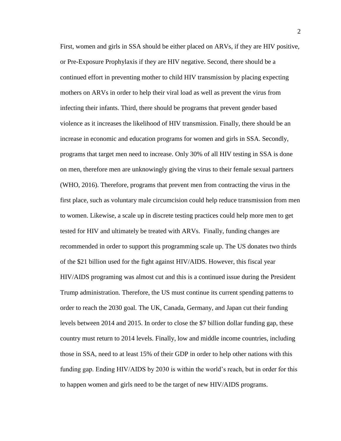First, women and girls in SSA should be either placed on ARVs, if they are HIV positive, or Pre-Exposure Prophylaxis if they are HIV negative. Second, there should be a continued effort in preventing mother to child HIV transmission by placing expecting mothers on ARVs in order to help their viral load as well as prevent the virus from infecting their infants. Third, there should be programs that prevent gender based violence as it increases the likelihood of HIV transmission. Finally, there should be an increase in economic and education programs for women and girls in SSA. Secondly, programs that target men need to increase. Only 30% of all HIV testing in SSA is done on men, therefore men are unknowingly giving the virus to their female sexual partners (WHO, 2016). Therefore, programs that prevent men from contracting the virus in the first place, such as voluntary male circumcision could help reduce transmission from men to women. Likewise, a scale up in discrete testing practices could help more men to get tested for HIV and ultimately be treated with ARVs. Finally, funding changes are recommended in order to support this programming scale up. The US donates two thirds of the \$21 billion used for the fight against HIV/AIDS. However, this fiscal year HIV/AIDS programing was almost cut and this is a continued issue during the President Trump administration. Therefore, the US must continue its current spending patterns to order to reach the 2030 goal. The UK, Canada, Germany, and Japan cut their funding levels between 2014 and 2015. In order to close the \$7 billion dollar funding gap, these country must return to 2014 levels. Finally, low and middle income countries, including those in SSA, need to at least 15% of their GDP in order to help other nations with this funding gap. Ending HIV/AIDS by 2030 is within the world's reach, but in order for this to happen women and girls need to be the target of new HIV/AIDS programs.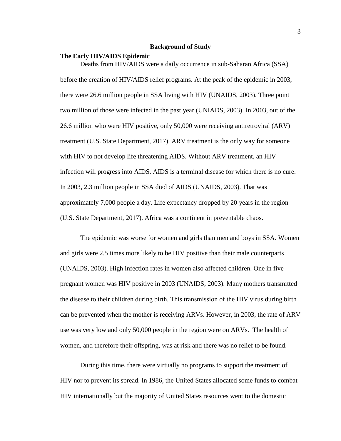#### **Background of Study**

#### <span id="page-6-1"></span><span id="page-6-0"></span>**The Early HIV/AIDS Epidemic**

Deaths from HIV/AIDS were a daily occurrence in sub-Saharan Africa (SSA) before the creation of HIV/AIDS relief programs. At the peak of the epidemic in 2003, there were 26.6 million people in SSA living with HIV (UNAIDS, 2003). Three point two million of those were infected in the past year (UNIADS, 2003). In 2003, out of the 26.6 million who were HIV positive, only 50,000 were receiving antiretroviral (ARV) treatment (U.S. State Department, 2017). ARV treatment is the only way for someone with HIV to not develop life threatening AIDS. Without ARV treatment, an HIV infection will progress into AIDS. AIDS is a terminal disease for which there is no cure. In 2003, 2.3 million people in SSA died of AIDS (UNAIDS, 2003). That was approximately 7,000 people a day. Life expectancy dropped by 20 years in the region (U.S. State Department, 2017). Africa was a continent in preventable chaos.

The epidemic was worse for women and girls than men and boys in SSA. Women and girls were 2.5 times more likely to be HIV positive than their male counterparts (UNAIDS, 2003). High infection rates in women also affected children. One in five pregnant women was HIV positive in 2003 (UNAIDS, 2003). Many mothers transmitted the disease to their children during birth. This transmission of the HIV virus during birth can be prevented when the mother is receiving ARVs. However, in 2003, the rate of ARV use was very low and only 50,000 people in the region were on ARVs. The health of women, and therefore their offspring, was at risk and there was no relief to be found.

During this time, there were virtually no programs to support the treatment of HIV nor to prevent its spread. In 1986, the United States allocated some funds to combat HIV internationally but the majority of United States resources went to the domestic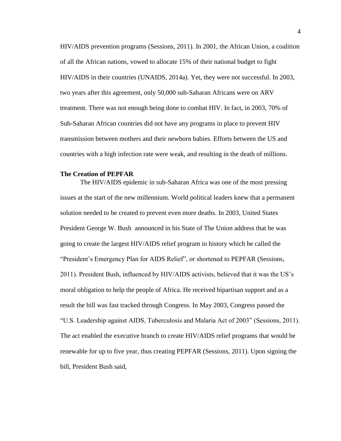HIV/AIDS prevention programs (Sessions, 2011). In 2001, the African Union, a coalition of all the African nations, vowed to allocate 15% of their national budget to fight HIV/AIDS in their countries (UNAIDS, 2014a). Yet, they were not successful. In 2003, two years after this agreement, only 50,000 sub-Saharan Africans were on ARV treatment. There was not enough being done to combat HIV. In fact, in 2003, 70% of Sub-Saharan African countries did not have any programs in place to prevent HIV transmission between mothers and their newborn babies. Efforts between the US and countries with a high infection rate were weak, and resulting in the death of millions.

#### <span id="page-7-0"></span>**The Creation of PEPFAR**

The HIV/AIDS epidemic in sub-Saharan Africa was one of the most pressing issues at the start of the new millennium. World political leaders knew that a permanent solution needed to be created to prevent even more deaths. In 2003, United States President George W. Bush announced in his State of The Union address that he was going to create the largest HIV/AIDS relief program in history which he called the "President's Emergency Plan for AIDS Relief", or shortened to PEPFAR (Sessions, 2011). President Bush, influenced by HIV/AIDS activists, believed that it was the US's moral obligation to help the people of Africa. He received bipartisan support and as a result the bill was fast tracked through Congress. In May 2003, Congress passed the "U.S. Leadership against AIDS, Tuberculosis and Malaria Act of 2003" (Sessions, 2011). The act enabled the executive branch to create HIV/AIDS relief programs that would be renewable for up to five year, thus creating PEPFAR (Sessions, 2011). Upon signing the bill, President Bush said,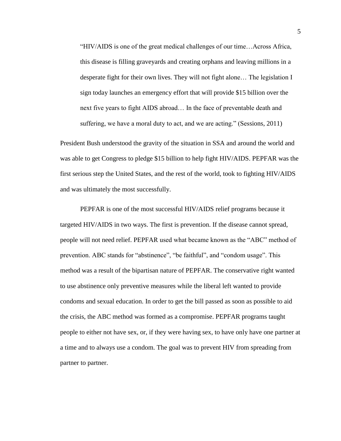"HIV/AIDS is one of the great medical challenges of our time…Across Africa, this disease is filling graveyards and creating orphans and leaving millions in a desperate fight for their own lives. They will not fight alone… The legislation I sign today launches an emergency effort that will provide \$15 billion over the next five years to fight AIDS abroad… In the face of preventable death and suffering, we have a moral duty to act, and we are acting." (Sessions, 2011)

President Bush understood the gravity of the situation in SSA and around the world and was able to get Congress to pledge \$15 billion to help fight HIV/AIDS. PEPFAR was the first serious step the United States, and the rest of the world, took to fighting HIV/AIDS and was ultimately the most successfully.

PEPFAR is one of the most successful HIV/AIDS relief programs because it targeted HIV/AIDS in two ways. The first is prevention. If the disease cannot spread, people will not need relief. PEPFAR used what became known as the "ABC" method of prevention. ABC stands for "abstinence", "be faithful", and "condom usage". This method was a result of the bipartisan nature of PEPFAR. The conservative right wanted to use abstinence only preventive measures while the liberal left wanted to provide condoms and sexual education. In order to get the bill passed as soon as possible to aid the crisis, the ABC method was formed as a compromise. PEPFAR programs taught people to either not have sex, or, if they were having sex, to have only have one partner at a time and to always use a condom. The goal was to prevent HIV from spreading from partner to partner.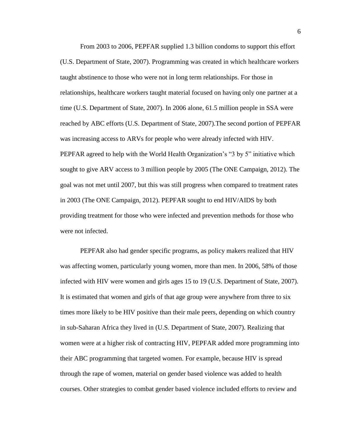From 2003 to 2006, PEPFAR supplied 1.3 billion condoms to support this effort (U.S. Department of State, 2007). Programming was created in which healthcare workers taught abstinence to those who were not in long term relationships. For those in relationships, healthcare workers taught material focused on having only one partner at a time (U.S. Department of State, 2007). In 2006 alone, 61.5 million people in SSA were reached by ABC efforts (U.S. Department of State, 2007).The second portion of PEPFAR was increasing access to ARVs for people who were already infected with HIV. PEPFAR agreed to help with the World Health Organization's "3 by 5" initiative which sought to give ARV access to 3 million people by 2005 (The ONE Campaign, 2012). The goal was not met until 2007, but this was still progress when compared to treatment rates in 2003 (The ONE Campaign, 2012). PEPFAR sought to end HIV/AIDS by both providing treatment for those who were infected and prevention methods for those who were not infected.

PEPFAR also had gender specific programs, as policy makers realized that HIV was affecting women, particularly young women, more than men. In 2006, 58% of those infected with HIV were women and girls ages 15 to 19 (U.S. Department of State, 2007). It is estimated that women and girls of that age group were anywhere from three to six times more likely to be HIV positive than their male peers, depending on which country in sub-Saharan Africa they lived in (U.S. Department of State, 2007). Realizing that women were at a higher risk of contracting HIV, PEPFAR added more programming into their ABC programming that targeted women. For example, because HIV is spread through the rape of women, material on gender based violence was added to health courses. Other strategies to combat gender based violence included efforts to review and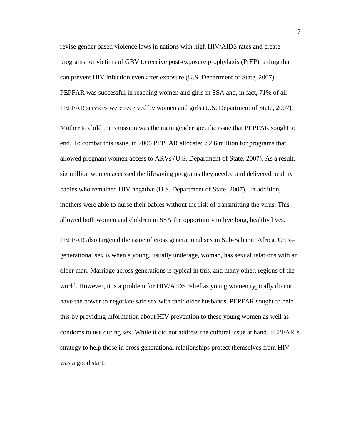revise gender based violence laws in nations with high HIV/AIDS rates and create programs for victims of GBV to receive post-exposure prophylaxis (PrEP), a drug that can prevent HIV infection even after exposure (U.S. Department of State, 2007). PEPFAR was successful in reaching women and girls in SSA and, in fact, 71% of all PEPFAR services were received by women and girls (U.S. Department of State, 2007).

Mother to child transmission was the main gender specific issue that PEPFAR sought to end. To combat this issue, in 2006 PEPFAR allocated \$2.6 million for programs that allowed pregnant women access to ARVs (U.S. Department of State, 2007). As a result, six million women accessed the lifesaving programs they needed and delivered healthy babies who remained HIV negative (U.S. Department of State, 2007). In addition, mothers were able to nurse their babies without the risk of transmitting the virus. This allowed both women and children in SSA the opportunity to live long, healthy lives.

PEPFAR also targeted the issue of cross generational sex in Sub-Saharan Africa. Crossgenerational sex is when a young, usually underage, woman, has sexual relations with an older man. Marriage across generations is typical in this, and many other, regions of the world. However, it is a problem for HIV/AIDS relief as young women typically do not have the power to negotiate safe sex with their older husbands. PEPFAR sought to help this by providing information about HIV prevention to these young women as well as condoms to use during sex. While it did not address the cultural issue at hand, PEPFAR's strategy to help those in cross generational relationships protect themselves from HIV was a good start.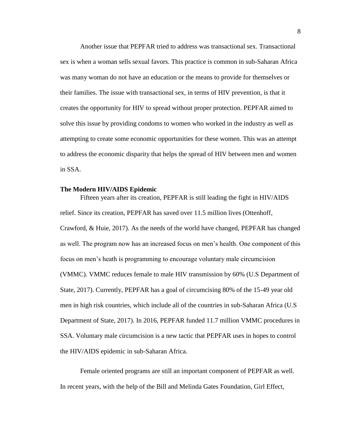Another issue that PEPFAR tried to address was transactional sex. Transactional sex is when a woman sells sexual favors. This practice is common in sub-Saharan Africa was many woman do not have an education or the means to provide for themselves or their families. The issue with transactional sex, in terms of HIV prevention, is that it creates the opportunity for HIV to spread without proper protection. PEPFAR aimed to solve this issue by providing condoms to women who worked in the industry as well as attempting to create some economic opportunities for these women. This was an attempt to address the economic disparity that helps the spread of HIV between men and women in SSA.

#### <span id="page-11-0"></span>**The Modern HIV/AIDS Epidemic**

Fifteen years after its creation, PEPFAR is still leading the fight in HIV/AIDS relief. Since its creation, PEPFAR has saved over 11.5 million lives (Ottenhoff, Crawford, & Huie, 2017). As the needs of the world have changed, PEPFAR has changed as well. The program now has an increased focus on men's health. One component of this focus on men's heath is programming to encourage voluntary male circumcision (VMMC). VMMC reduces female to male HIV transmission by 60% (U.S Department of State, 2017). Currently, PEPFAR has a goal of circumcising 80% of the 15-49 year old men in high risk countries, which include all of the countries in sub-Saharan Africa (U.S Department of State, 2017). In 2016, PEPFAR funded 11.7 million VMMC procedures in SSA. Voluntary male circumcision is a new tactic that PEPFAR uses in hopes to control the HIV/AIDS epidemic in sub-Saharan Africa.

Female oriented programs are still an important component of PEPFAR as well. In recent years, with the help of the Bill and Melinda Gates Foundation, Girl Effect,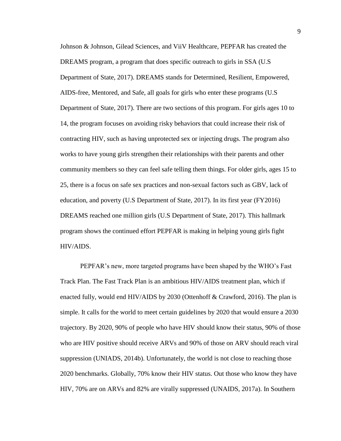Johnson & Johnson, Gilead Sciences, and ViiV Healthcare, PEPFAR has created the DREAMS program, a program that does specific outreach to girls in SSA (U.S Department of State, 2017). DREAMS stands for Determined, Resilient, Empowered, AIDS-free, Mentored, and Safe, all goals for girls who enter these programs (U.S Department of State, 2017). There are two sections of this program. For girls ages 10 to 14, the program focuses on avoiding risky behaviors that could increase their risk of contracting HIV, such as having unprotected sex or injecting drugs. The program also works to have young girls strengthen their relationships with their parents and other community members so they can feel safe telling them things. For older girls, ages 15 to 25, there is a focus on safe sex practices and non-sexual factors such as GBV, lack of education, and poverty (U.S Department of State, 2017). In its first year (FY2016) DREAMS reached one million girls (U.S Department of State, 2017). This hallmark program shows the continued effort PEPFAR is making in helping young girls fight HIV/AIDS.

PEPFAR's new, more targeted programs have been shaped by the WHO's Fast Track Plan. The Fast Track Plan is an ambitious HIV/AIDS treatment plan, which if enacted fully, would end HIV/AIDS by 2030 (Ottenhoff & Crawford, 2016). The plan is simple. It calls for the world to meet certain guidelines by 2020 that would ensure a 2030 trajectory. By 2020, 90% of people who have HIV should know their status, 90% of those who are HIV positive should receive ARVs and 90% of those on ARV should reach viral suppression (UNIADS, 2014b). Unfortunately, the world is not close to reaching those 2020 benchmarks. Globally, 70% know their HIV status. Out those who know they have HIV, 70% are on ARVs and 82% are virally suppressed (UNAIDS, 2017a). In Southern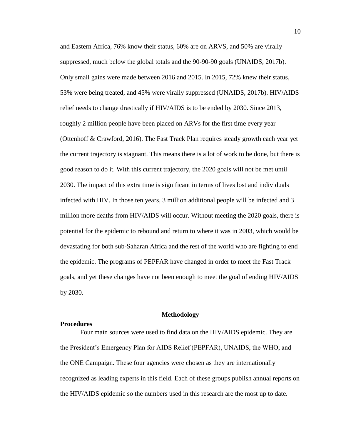and Eastern Africa, 76% know their status, 60% are on ARVS, and 50% are virally suppressed, much below the global totals and the 90-90-90 goals (UNAIDS, 2017b). Only small gains were made between 2016 and 2015. In 2015, 72% knew their status, 53% were being treated, and 45% were virally suppressed (UNAIDS, 2017b). HIV/AIDS relief needs to change drastically if HIV/AIDS is to be ended by 2030. Since 2013, roughly 2 million people have been placed on ARVs for the first time every year (Ottenhoff & Crawford, 2016). The Fast Track Plan requires steady growth each year yet the current trajectory is stagnant. This means there is a lot of work to be done, but there is good reason to do it. With this current trajectory, the 2020 goals will not be met until 2030. The impact of this extra time is significant in terms of lives lost and individuals infected with HIV. In those ten years, 3 million additional people will be infected and 3 million more deaths from HIV/AIDS will occur. Without meeting the 2020 goals, there is potential for the epidemic to rebound and return to where it was in 2003, which would be devastating for both sub-Saharan Africa and the rest of the world who are fighting to end the epidemic. The programs of PEPFAR have changed in order to meet the Fast Track goals, and yet these changes have not been enough to meet the goal of ending HIV/AIDS by 2030.

#### **Methodology**

#### <span id="page-13-1"></span><span id="page-13-0"></span>**Procedures**

Four main sources were used to find data on the HIV/AIDS epidemic. They are the President's Emergency Plan for AIDS Relief (PEPFAR), UNAIDS, the WHO, and the ONE Campaign. These four agencies were chosen as they are internationally recognized as leading experts in this field. Each of these groups publish annual reports on the HIV/AIDS epidemic so the numbers used in this research are the most up to date.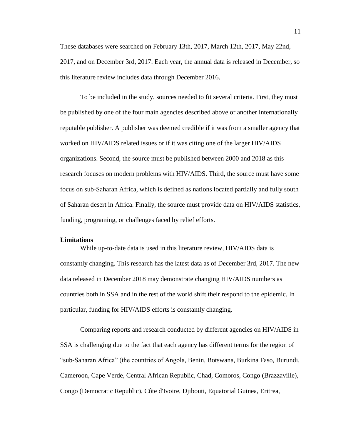These databases were searched on February 13th, 2017, March 12th, 2017, May 22nd, 2017, and on December 3rd, 2017. Each year, the annual data is released in December, so this literature review includes data through December 2016.

To be included in the study, sources needed to fit several criteria. First, they must be published by one of the four main agencies described above or another internationally reputable publisher. A publisher was deemed credible if it was from a smaller agency that worked on HIV/AIDS related issues or if it was citing one of the larger HIV/AIDS organizations. Second, the source must be published between 2000 and 2018 as this research focuses on modern problems with HIV/AIDS. Third, the source must have some focus on sub-Saharan Africa, which is defined as nations located partially and fully south of Saharan desert in Africa. Finally, the source must provide data on HIV/AIDS statistics, funding, programing, or challenges faced by relief efforts.

#### <span id="page-14-0"></span>**Limitations**

While up-to-date data is used in this literature review, HIV/AIDS data is constantly changing. This research has the latest data as of December 3rd, 2017. The new data released in December 2018 may demonstrate changing HIV/AIDS numbers as countries both in SSA and in the rest of the world shift their respond to the epidemic. In particular, funding for HIV/AIDS efforts is constantly changing.

Comparing reports and research conducted by different agencies on HIV/AIDS in SSA is challenging due to the fact that each agency has different terms for the region of "sub-Saharan Africa" (the countries of Angola, Benin, Botswana, Burkina Faso, Burundi, Cameroon, Cape Verde, Central African Republic, Chad, Comoros, Congo (Brazzaville), Congo (Democratic Republic), Côte d'Ivoire, Djibouti, Equatorial Guinea, Eritrea,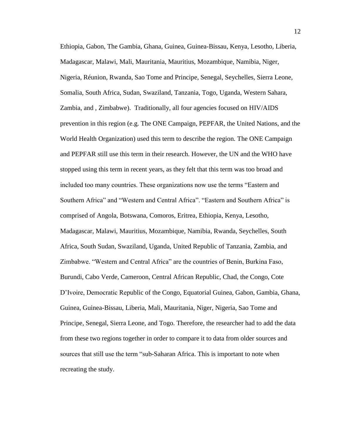Ethiopia, Gabon, The Gambia, Ghana, Guinea, Guinea-Bissau, Kenya, Lesotho, Liberia, Madagascar, Malawi, Mali, Mauritania, Mauritius, Mozambique, Namibia, Niger, Nigeria, Réunion, Rwanda, Sao Tome and Principe, Senegal, Seychelles, Sierra Leone, Somalia, South Africa, Sudan, Swaziland, Tanzania, Togo, Uganda, Western Sahara, Zambia, and , Zimbabwe). Traditionally, all four agencies focused on HIV/AIDS prevention in this region (e.g. The ONE Campaign, PEPFAR, the United Nations, and the World Health Organization) used this term to describe the region. The ONE Campaign and PEPFAR still use this term in their research. However, the UN and the WHO have stopped using this term in recent years, as they felt that this term was too broad and included too many countries. These organizations now use the terms "Eastern and Southern Africa" and "Western and Central Africa". "Eastern and Southern Africa" is comprised of Angola, Botswana, Comoros, Eritrea, Ethiopia, Kenya, Lesotho, Madagascar, Malawi, Mauritius, Mozambique, Namibia, Rwanda, Seychelles, South Africa, South Sudan, Swaziland, Uganda, United Republic of Tanzania, Zambia, and Zimbabwe. "Western and Central Africa" are the countries of Benin, Burkina Faso, Burundi, Cabo Verde, Cameroon, Central African Republic, Chad, the Congo, Cote D'Ivoire, Democratic Republic of the Congo, Equatorial Guinea, Gabon, Gambia, Ghana, Guinea, Guinea-Bissau, Liberia, Mali, Mauritania, Niger, Nigeria, Sao Tome and Principe, Senegal, Sierra Leone, and Togo. Therefore, the researcher had to add the data from these two regions together in order to compare it to data from older sources and sources that still use the term "sub-Saharan Africa. This is important to note when recreating the study.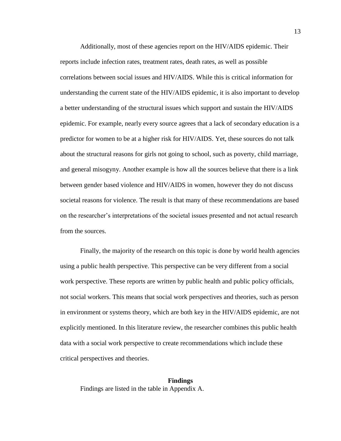Additionally, most of these agencies report on the HIV/AIDS epidemic. Their reports include infection rates, treatment rates, death rates, as well as possible correlations between social issues and HIV/AIDS. While this is critical information for understanding the current state of the HIV/AIDS epidemic, it is also important to develop a better understanding of the structural issues which support and sustain the HIV/AIDS epidemic. For example, nearly every source agrees that a lack of secondary education is a predictor for women to be at a higher risk for HIV/AIDS. Yet, these sources do not talk about the structural reasons for girls not going to school, such as poverty, child marriage, and general misogyny. Another example is how all the sources believe that there is a link between gender based violence and HIV/AIDS in women, however they do not discuss societal reasons for violence. The result is that many of these recommendations are based on the researcher's interpretations of the societal issues presented and not actual research from the sources.

Finally, the majority of the research on this topic is done by world health agencies using a public health perspective. This perspective can be very different from a social work perspective. These reports are written by public health and public policy officials, not social workers. This means that social work perspectives and theories, such as person in environment or systems theory, which are both key in the HIV/AIDS epidemic, are not explicitly mentioned. In this literature review, the researcher combines this public health data with a social work perspective to create recommendations which include these critical perspectives and theories.

<span id="page-16-0"></span>**Findings** Findings are listed in the table in Appendix A.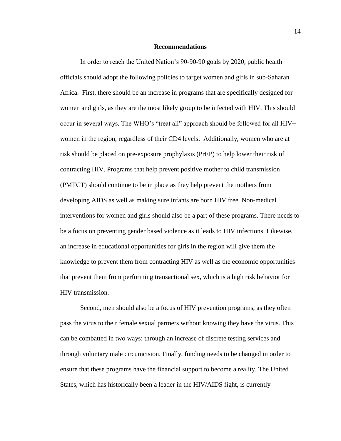#### **Recommendations**

<span id="page-17-0"></span>In order to reach the United Nation's 90-90-90 goals by 2020, public health officials should adopt the following policies to target women and girls in sub-Saharan Africa. First, there should be an increase in programs that are specifically designed for women and girls, as they are the most likely group to be infected with HIV. This should occur in several ways. The WHO's "treat all" approach should be followed for all HIV+ women in the region, regardless of their CD4 levels. Additionally, women who are at risk should be placed on pre-exposure prophylaxis (PrEP) to help lower their risk of contracting HIV. Programs that help prevent positive mother to child transmission (PMTCT) should continue to be in place as they help prevent the mothers from developing AIDS as well as making sure infants are born HIV free. Non-medical interventions for women and girls should also be a part of these programs. There needs to be a focus on preventing gender based violence as it leads to HIV infections. Likewise, an increase in educational opportunities for girls in the region will give them the knowledge to prevent them from contracting HIV as well as the economic opportunities that prevent them from performing transactional sex, which is a high risk behavior for HIV transmission.

Second, men should also be a focus of HIV prevention programs, as they often pass the virus to their female sexual partners without knowing they have the virus. This can be combatted in two ways; through an increase of discrete testing services and through voluntary male circumcision. Finally, funding needs to be changed in order to ensure that these programs have the financial support to become a reality. The United States, which has historically been a leader in the HIV/AIDS fight, is currently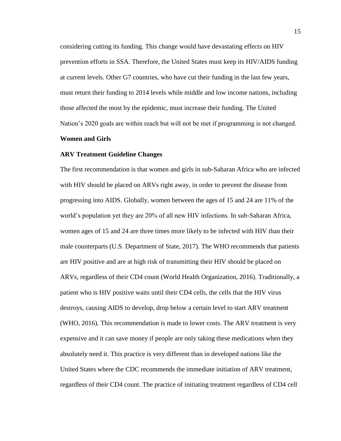considering cutting its funding. This change would have devastating effects on HIV prevention efforts in SSA. Therefore, the United States must keep its HIV/AIDS funding at current levels. Other G7 countries, who have cut their funding in the last few years, must return their funding to 2014 levels while middle and low income nations, including those affected the most by the epidemic, must increase their funding. The United Nation's 2020 goals are within reach but will not be met if programming is not changed.

#### <span id="page-18-0"></span>**Women and Girls**

#### <span id="page-18-1"></span>**ARV Treatment Guideline Changes**

The first recommendation is that women and girls in sub-Saharan Africa who are infected with HIV should be placed on ARVs right away, in order to prevent the disease from progressing into AIDS. Globally, women between the ages of 15 and 24 are 11% of the world's population yet they are 20% of all new HIV infections. In sub-Saharan Africa, women ages of 15 and 24 are three times more likely to be infected with HIV than their male counterparts (U.S. Department of State, 2017). The WHO recommends that patients are HIV positive and are at high risk of transmitting their HIV should be placed on ARVs, regardless of their CD4 count (World Health Organization, 2016). Traditionally, a patient who is HIV positive waits until their CD4 cells, the cells that the HIV virus destroys, causing AIDS to develop, drop below a certain level to start ARV treatment (WHO, 2016). This recommendation is made to lower costs. The ARV treatment is very expensive and it can save money if people are only taking these medications when they absolutely need it. This practice is very different than in developed nations like the United States where the CDC recommends the immediate initiation of ARV treatment, regardless of their CD4 count. The practice of initiating treatment regardless of CD4 cell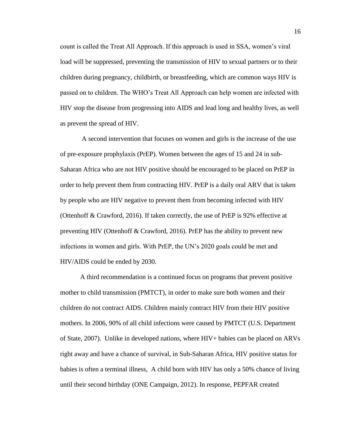count is called the Treat All Approach. If this approach is used in SSA, women's viral load will be suppressed, preventing the transmission of HIV to sexual partners or to their children during pregnancy, childbirth, or breastfeeding, which are common ways HIV is passed on to children. The WHO's Treat All Approach can help women are infected with HIV stop the disease from progressing into AIDS and lead long and healthy lives, as well as prevent the spread of HIV.

A second intervention that focuses on women and girls is the increase of the use of pre-exposure prophylaxis (PrEP). Women between the ages of 15 and 24 in sub-Saharan Africa who are not HIV positive should be encouraged to be placed on PrEP in order to help prevent them from contracting HIV. PrEP is a daily oral ARV that is taken by people who are HIV negative to prevent them from becoming infected with HIV (Ottenhoff & Crawford, 2016). If taken correctly, the use of PrEP is 92% effective at preventing HIV (Ottenhoff & Crawford, 2016). PrEP has the ability to prevent new infections in women and girls. With PrEP, the UN's 2020 goals could be met and HIV/AIDS could be ended by 2030.

A third recommendation is a continued focus on programs that prevent positive mother to child transmission (PMTCT), in order to make sure both women and their children do not contract AIDS. Children mainly contract HIV from their HIV positive mothers. In 2006, 90% of all child infections were caused by PMTCT (U.S. Department of State, 2007). Unlike in developed nations, where HIV+ babies can be placed on ARVs right away and have a chance of survival, in Sub-Saharan Africa, HIV positive status for babies is often a terminal illness, A child born with HIV has only a 50% chance of living until their second birthday (ONE Campaign, 2012). In response, PEPFAR created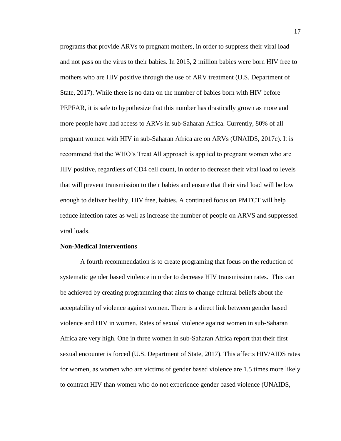programs that provide ARVs to pregnant mothers, in order to suppress their viral load and not pass on the virus to their babies. In 2015, 2 million babies were born HIV free to mothers who are HIV positive through the use of ARV treatment (U.S. Department of State, 2017). While there is no data on the number of babies born with HIV before PEPFAR, it is safe to hypothesize that this number has drastically grown as more and more people have had access to ARVs in sub-Saharan Africa. Currently, 80% of all pregnant women with HIV in sub-Saharan Africa are on ARVs (UNAIDS, 2017c). It is recommend that the WHO's Treat All approach is applied to pregnant women who are HIV positive, regardless of CD4 cell count, in order to decrease their viral load to levels that will prevent transmission to their babies and ensure that their viral load will be low enough to deliver healthy, HIV free, babies. A continued focus on PMTCT will help reduce infection rates as well as increase the number of people on ARVS and suppressed viral loads.

#### <span id="page-20-0"></span>**Non-Medical Interventions**

A fourth recommendation is to create programing that focus on the reduction of systematic gender based violence in order to decrease HIV transmission rates. This can be achieved by creating programming that aims to change cultural beliefs about the acceptability of violence against women. There is a direct link between gender based violence and HIV in women. Rates of sexual violence against women in sub-Saharan Africa are very high. One in three women in sub-Saharan Africa report that their first sexual encounter is forced (U.S. Department of State, 2017). This affects HIV/AIDS rates for women, as women who are victims of gender based violence are 1.5 times more likely to contract HIV than women who do not experience gender based violence (UNAIDS,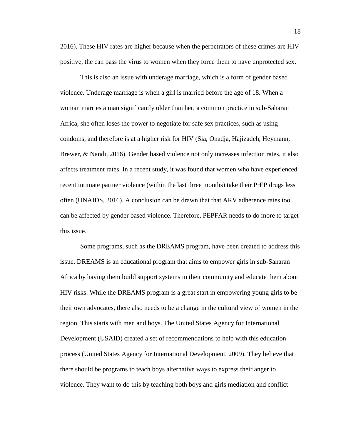2016). These HIV rates are higher because when the perpetrators of these crimes are HIV positive, the can pass the virus to women when they force them to have unprotected sex.

This is also an issue with underage marriage, which is a form of gender based violence. Underage marriage is when a girl is married before the age of 18. When a woman marries a man significantly older than her, a common practice in sub-Saharan Africa, she often loses the power to negotiate for safe sex practices, such as using condoms, and therefore is at a higher risk for HIV (Sia, Onadja, Hajizadeh, Heymann, Brewer, & Nandi, 2016). Gender based violence not only increases infection rates, it also affects treatment rates. In a recent study, it was found that women who have experienced recent intimate partner violence (within the last three months) take their PrEP drugs less often (UNAIDS, 2016). A conclusion can be drawn that that ARV adherence rates too can be affected by gender based violence. Therefore, PEPFAR needs to do more to target this issue.

Some programs, such as the DREAMS program, have been created to address this issue. DREAMS is an educational program that aims to empower girls in sub-Saharan Africa by having them build support systems in their community and educate them about HIV risks. While the DREAMS program is a great start in empowering young girls to be their own advocates, there also needs to be a change in the cultural view of women in the region. This starts with men and boys. The United States Agency for International Development (USAID) created a set of recommendations to help with this education process (United States Agency for International Development, 2009). They believe that there should be programs to teach boys alternative ways to express their anger to violence. They want to do this by teaching both boys and girls mediation and conflict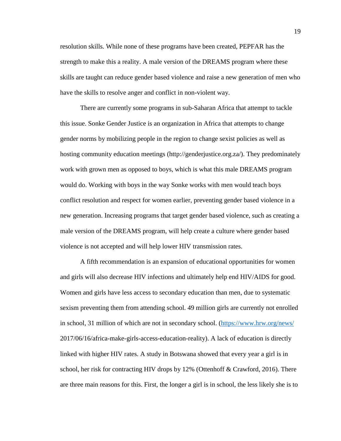resolution skills. While none of these programs have been created, PEPFAR has the strength to make this a reality. A male version of the DREAMS program where these skills are taught can reduce gender based violence and raise a new generation of men who have the skills to resolve anger and conflict in non-violent way.

There are currently some programs in sub-Saharan Africa that attempt to tackle this issue. Sonke Gender Justice is an organization in Africa that attempts to change gender norms by mobilizing people in the region to change sexist policies as well as hosting community education meetings (http://genderjustice.org.za/). They predominately work with grown men as opposed to boys, which is what this male DREAMS program would do. Working with boys in the way Sonke works with men would teach boys conflict resolution and respect for women earlier, preventing gender based violence in a new generation. Increasing programs that target gender based violence, such as creating a male version of the DREAMS program, will help create a culture where gender based violence is not accepted and will help lower HIV transmission rates.

A fifth recommendation is an expansion of educational opportunities for women and girls will also decrease HIV infections and ultimately help end HIV/AIDS for good. Women and girls have less access to secondary education than men, due to systematic sexism preventing them from attending school. 49 million girls are currently not enrolled in school, 31 million of which are not in secondary school. [\(https://www.hrw.org/news/](https://www.hrw.org/news/) 2017/06/16/africa-make-girls-access-education-reality). A lack of education is directly linked with higher HIV rates. A study in Botswana showed that every year a girl is in school, her risk for contracting HIV drops by 12% (Ottenhoff & Crawford, 2016). There are three main reasons for this. First, the longer a girl is in school, the less likely she is to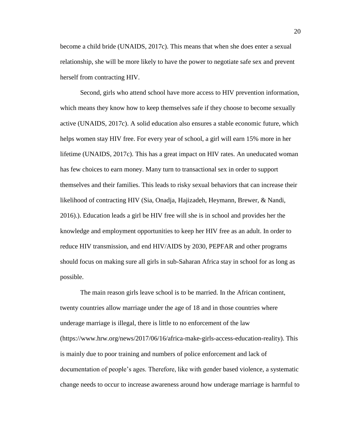become a child bride (UNAIDS, 2017c). This means that when she does enter a sexual relationship, she will be more likely to have the power to negotiate safe sex and prevent herself from contracting HIV.

Second, girls who attend school have more access to HIV prevention information, which means they know how to keep themselves safe if they choose to become sexually active (UNAIDS, 2017c). A solid education also ensures a stable economic future, which helps women stay HIV free. For every year of school, a girl will earn 15% more in her lifetime (UNAIDS, 2017c). This has a great impact on HIV rates. An uneducated woman has few choices to earn money. Many turn to transactional sex in order to support themselves and their families. This leads to risky sexual behaviors that can increase their likelihood of contracting HIV (Sia, Onadja, Hajizadeh, Heymann, Brewer, & Nandi, 2016).). Education leads a girl be HIV free will she is in school and provides her the knowledge and employment opportunities to keep her HIV free as an adult. In order to reduce HIV transmission, and end HIV/AIDS by 2030, PEPFAR and other programs should focus on making sure all girls in sub-Saharan Africa stay in school for as long as possible.

The main reason girls leave school is to be married. In the African continent, twenty countries allow marriage under the age of 18 and in those countries where underage marriage is illegal, there is little to no enforcement of the law (https://www.hrw.org/news/2017/06/16/africa-make-girls-access-education-reality). This is mainly due to poor training and numbers of police enforcement and lack of documentation of people's ages. Therefore, like with gender based violence, a systematic change needs to occur to increase awareness around how underage marriage is harmful to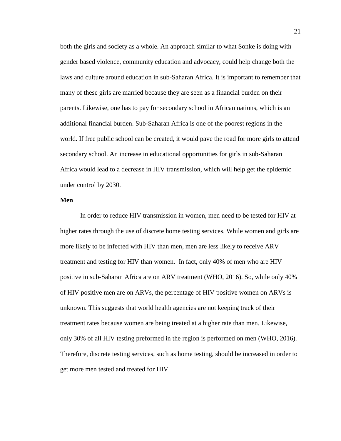both the girls and society as a whole. An approach similar to what Sonke is doing with gender based violence, community education and advocacy, could help change both the laws and culture around education in sub-Saharan Africa. It is important to remember that many of these girls are married because they are seen as a financial burden on their parents. Likewise, one has to pay for secondary school in African nations, which is an additional financial burden. Sub-Saharan Africa is one of the poorest regions in the world. If free public school can be created, it would pave the road for more girls to attend secondary school. An increase in educational opportunities for girls in sub-Saharan Africa would lead to a decrease in HIV transmission, which will help get the epidemic under control by 2030.

#### <span id="page-24-0"></span>**Men**

In order to reduce HIV transmission in women, men need to be tested for HIV at higher rates through the use of discrete home testing services. While women and girls are more likely to be infected with HIV than men, men are less likely to receive ARV treatment and testing for HIV than women. In fact, only 40% of men who are HIV positive in sub-Saharan Africa are on ARV treatment (WHO, 2016). So, while only 40% of HIV positive men are on ARVs, the percentage of HIV positive women on ARVs is unknown. This suggests that world health agencies are not keeping track of their treatment rates because women are being treated at a higher rate than men. Likewise, only 30% of all HIV testing preformed in the region is performed on men (WHO, 2016). Therefore, discrete testing services, such as home testing, should be increased in order to get more men tested and treated for HIV.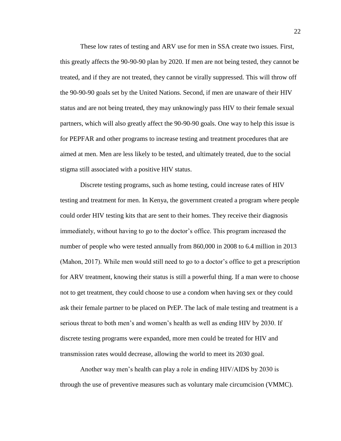These low rates of testing and ARV use for men in SSA create two issues. First, this greatly affects the 90-90-90 plan by 2020. If men are not being tested, they cannot be treated, and if they are not treated, they cannot be virally suppressed. This will throw off the 90-90-90 goals set by the United Nations. Second, if men are unaware of their HIV status and are not being treated, they may unknowingly pass HIV to their female sexual partners, which will also greatly affect the 90-90-90 goals. One way to help this issue is for PEPFAR and other programs to increase testing and treatment procedures that are aimed at men. Men are less likely to be tested, and ultimately treated, due to the social stigma still associated with a positive HIV status.

Discrete testing programs, such as home testing, could increase rates of HIV testing and treatment for men. In Kenya, the government created a program where people could order HIV testing kits that are sent to their homes. They receive their diagnosis immediately, without having to go to the doctor's office. This program increased the number of people who were tested annually from 860,000 in 2008 to 6.4 million in 2013 (Mahon, 2017). While men would still need to go to a doctor's office to get a prescription for ARV treatment, knowing their status is still a powerful thing. If a man were to choose not to get treatment, they could choose to use a condom when having sex or they could ask their female partner to be placed on PrEP. The lack of male testing and treatment is a serious threat to both men's and women's health as well as ending HIV by 2030. If discrete testing programs were expanded, more men could be treated for HIV and transmission rates would decrease, allowing the world to meet its 2030 goal.

Another way men's health can play a role in ending HIV/AIDS by 2030 is through the use of preventive measures such as voluntary male circumcision (VMMC).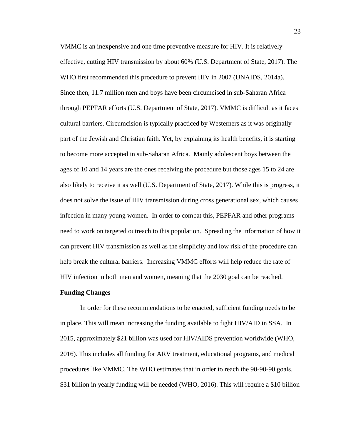VMMC is an inexpensive and one time preventive measure for HIV. It is relatively effective, cutting HIV transmission by about 60% (U.S. Department of State, 2017). The WHO first recommended this procedure to prevent HIV in 2007 (UNAIDS, 2014a). Since then, 11.7 million men and boys have been circumcised in sub-Saharan Africa through PEPFAR efforts (U.S. Department of State, 2017). VMMC is difficult as it faces cultural barriers. Circumcision is typically practiced by Westerners as it was originally part of the Jewish and Christian faith. Yet, by explaining its health benefits, it is starting to become more accepted in sub-Saharan Africa. Mainly adolescent boys between the ages of 10 and 14 years are the ones receiving the procedure but those ages 15 to 24 are also likely to receive it as well (U.S. Department of State, 2017). While this is progress, it does not solve the issue of HIV transmission during cross generational sex, which causes infection in many young women. In order to combat this, PEPFAR and other programs need to work on targeted outreach to this population. Spreading the information of how it can prevent HIV transmission as well as the simplicity and low risk of the procedure can help break the cultural barriers. Increasing VMMC efforts will help reduce the rate of HIV infection in both men and women, meaning that the 2030 goal can be reached.

#### <span id="page-26-0"></span>**Funding Changes**

In order for these recommendations to be enacted, sufficient funding needs to be in place. This will mean increasing the funding available to fight HIV/AID in SSA. In 2015, approximately \$21 billion was used for HIV/AIDS prevention worldwide (WHO, 2016). This includes all funding for ARV treatment, educational programs, and medical procedures like VMMC. The WHO estimates that in order to reach the 90-90-90 goals, \$31 billion in yearly funding will be needed (WHO, 2016). This will require a \$10 billion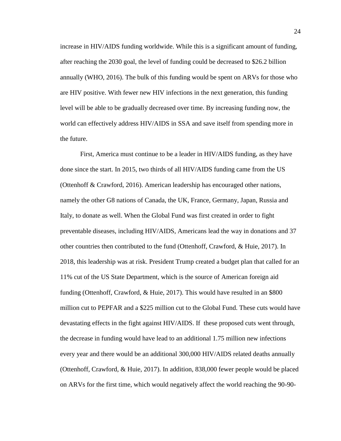increase in HIV/AIDS funding worldwide. While this is a significant amount of funding, after reaching the 2030 goal, the level of funding could be decreased to \$26.2 billion annually (WHO, 2016). The bulk of this funding would be spent on ARVs for those who are HIV positive. With fewer new HIV infections in the next generation, this funding level will be able to be gradually decreased over time. By increasing funding now, the world can effectively address HIV/AIDS in SSA and save itself from spending more in the future.

First, America must continue to be a leader in HIV/AIDS funding, as they have done since the start. In 2015, two thirds of all HIV/AIDS funding came from the US (Ottenhoff & Crawford, 2016). American leadership has encouraged other nations, namely the other G8 nations of Canada, the UK, France, Germany, Japan, Russia and Italy, to donate as well. When the Global Fund was first created in order to fight preventable diseases, including HIV/AIDS, Americans lead the way in donations and 37 other countries then contributed to the fund (Ottenhoff, Crawford, & Huie, 2017). In 2018, this leadership was at risk. President Trump created a budget plan that called for an 11% cut of the US State Department, which is the source of American foreign aid funding (Ottenhoff, Crawford, & Huie, 2017). This would have resulted in an \$800 million cut to PEPFAR and a \$225 million cut to the Global Fund. These cuts would have devastating effects in the fight against HIV/AIDS. If these proposed cuts went through, the decrease in funding would have lead to an additional 1.75 million new infections every year and there would be an additional 300,000 HIV/AIDS related deaths annually (Ottenhoff, Crawford, & Huie, 2017). In addition, 838,000 fewer people would be placed on ARVs for the first time, which would negatively affect the world reaching the 90-90-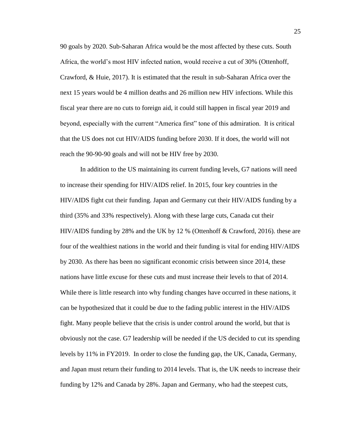90 goals by 2020. Sub-Saharan Africa would be the most affected by these cuts. South Africa, the world's most HIV infected nation, would receive a cut of 30% (Ottenhoff, Crawford, & Huie, 2017). It is estimated that the result in sub-Saharan Africa over the next 15 years would be 4 million deaths and 26 million new HIV infections. While this fiscal year there are no cuts to foreign aid, it could still happen in fiscal year 2019 and beyond, especially with the current "America first" tone of this admiration. It is critical that the US does not cut HIV/AIDS funding before 2030. If it does, the world will not reach the 90-90-90 goals and will not be HIV free by 2030.

In addition to the US maintaining its current funding levels, G7 nations will need to increase their spending for HIV/AIDS relief. In 2015, four key countries in the HIV/AIDS fight cut their funding. Japan and Germany cut their HIV/AIDS funding by a third (35% and 33% respectively). Along with these large cuts, Canada cut their HIV/AIDS funding by 28% and the UK by 12 % (Ottenhoff & Crawford, 2016). these are four of the wealthiest nations in the world and their funding is vital for ending HIV/AIDS by 2030. As there has been no significant economic crisis between since 2014, these nations have little excuse for these cuts and must increase their levels to that of 2014. While there is little research into why funding changes have occurred in these nations, it can be hypothesized that it could be due to the fading public interest in the HIV/AIDS fight. Many people believe that the crisis is under control around the world, but that is obviously not the case. G7 leadership will be needed if the US decided to cut its spending levels by 11% in FY2019. In order to close the funding gap, the UK, Canada, Germany, and Japan must return their funding to 2014 levels. That is, the UK needs to increase their funding by 12% and Canada by 28%. Japan and Germany, who had the steepest cuts,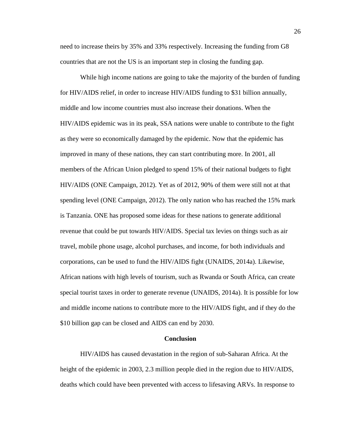need to increase theirs by 35% and 33% respectively. Increasing the funding from G8 countries that are not the US is an important step in closing the funding gap.

While high income nations are going to take the majority of the burden of funding for HIV/AIDS relief, in order to increase HIV/AIDS funding to \$31 billion annually, middle and low income countries must also increase their donations. When the HIV/AIDS epidemic was in its peak, SSA nations were unable to contribute to the fight as they were so economically damaged by the epidemic. Now that the epidemic has improved in many of these nations, they can start contributing more. In 2001, all members of the African Union pledged to spend 15% of their national budgets to fight HIV/AIDS (ONE Campaign, 2012). Yet as of 2012, 90% of them were still not at that spending level (ONE Campaign, 2012). The only nation who has reached the 15% mark is Tanzania. ONE has proposed some ideas for these nations to generate additional revenue that could be put towards HIV/AIDS. Special tax levies on things such as air travel, mobile phone usage, alcohol purchases, and income, for both individuals and corporations, can be used to fund the HIV/AIDS fight (UNAIDS, 2014a). Likewise, African nations with high levels of tourism, such as Rwanda or South Africa, can create special tourist taxes in order to generate revenue (UNAIDS, 2014a). It is possible for low and middle income nations to contribute more to the HIV/AIDS fight, and if they do the \$10 billion gap can be closed and AIDS can end by 2030.

#### **Conclusion**

<span id="page-29-0"></span>HIV/AIDS has caused devastation in the region of sub-Saharan Africa. At the height of the epidemic in 2003, 2.3 million people died in the region due to HIV/AIDS, deaths which could have been prevented with access to lifesaving ARVs. In response to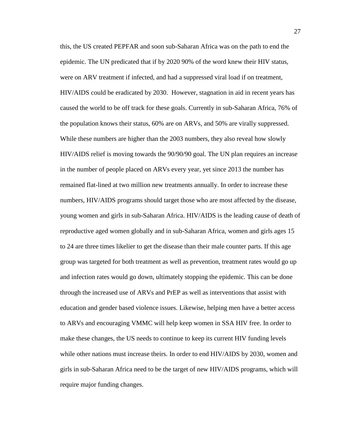this, the US created PEPFAR and soon sub-Saharan Africa was on the path to end the epidemic. The UN predicated that if by 2020 90% of the word knew their HIV status, were on ARV treatment if infected, and had a suppressed viral load if on treatment, HIV/AIDS could be eradicated by 2030. However, stagnation in aid in recent years has caused the world to be off track for these goals. Currently in sub-Saharan Africa, 76% of the population knows their status, 60% are on ARVs, and 50% are virally suppressed. While these numbers are higher than the 2003 numbers, they also reveal how slowly HIV/AIDS relief is moving towards the 90/90/90 goal. The UN plan requires an increase in the number of people placed on ARVs every year, yet since 2013 the number has remained flat-lined at two million new treatments annually. In order to increase these numbers, HIV/AIDS programs should target those who are most affected by the disease, young women and girls in sub-Saharan Africa. HIV/AIDS is the leading cause of death of reproductive aged women globally and in sub-Saharan Africa, women and girls ages 15 to 24 are three times likelier to get the disease than their male counter parts. If this age group was targeted for both treatment as well as prevention, treatment rates would go up and infection rates would go down, ultimately stopping the epidemic. This can be done through the increased use of ARVs and PrEP as well as interventions that assist with education and gender based violence issues. Likewise, helping men have a better access to ARVs and encouraging VMMC will help keep women in SSA HIV free. In order to make these changes, the US needs to continue to keep its current HIV funding levels while other nations must increase theirs. In order to end HIV/AIDS by 2030, women and girls in sub-Saharan Africa need to be the target of new HIV/AIDS programs, which will require major funding changes.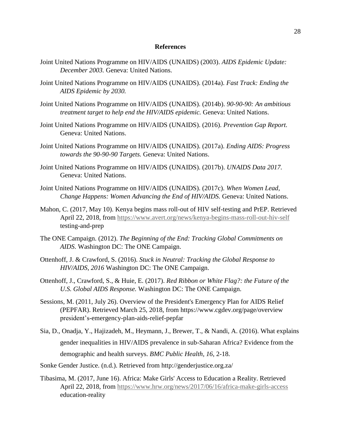#### **References**

- <span id="page-31-0"></span>Joint United Nations Programme on HIV/AIDS (UNAIDS) (2003). *AIDS Epidemic Update: December 2003.* Geneva: United Nations.
- Joint United Nations Programme on HIV/AIDS (UNAIDS). (2014a). *Fast Track: Ending the AIDS Epidemic by 2030.*
- Joint United Nations Programme on HIV/AIDS (UNAIDS). (2014b). *90-90-90: An ambitious treatment target to help end the HIV/AIDS epidemic.* Geneva: United Nations.
- Joint United Nations Programme on HIV/AIDS (UNAIDS). (2016). *Prevention Gap Report.* Geneva: United Nations.
- Joint United Nations Programme on HIV/AIDS (UNAIDS). (2017a). *Ending AIDS: Progress towards the 90-90-90 Targets.* Geneva: United Nations.
- Joint United Nations Programme on HIV/AIDS (UNAIDS). (2017b). *UNAIDS Data 2017.* Geneva: United Nations.
- Joint United Nations Programme on HIV/AIDS (UNAIDS). (2017c). *When Women Lead, Change Happens: Women Advancing the End of HIV/AIDS. Geneva: United Nations.*
- Mahon, C. (2017, May 10). Kenya begins mass roll-out of HIV self-testing and PrEP. Retrieved April 22, 2018, from<https://www.avert.org/news/kenya-begins-mass-roll-out-hiv-self> testing-and-prep
- The ONE Campaign. (2012). *The Beginning of the End: Tracking Global Commitments on AIDS*. Washington DC: The ONE Campaign.
- Ottenhoff, J. & Crawford, S. (2016). *Stuck in Neutral: Tracking the Global Response to HIV/AIDS, 2016* Washington DC: The ONE Campaign.
- Ottenhoff, J., Crawford, S., & Huie, E. (2017). *Red Ribbon or White Flag?: the Future of the U.S. Global AIDS Response.* Washington DC: The ONE Campaign.
- Sessions, M. (2011, July 26). Overview of the President's Emergency Plan for AIDS Relief (PEPFAR). Retrieved March 25, 2018, from https://www.cgdev.org/page/overview president's-emergency-plan-aids-relief-pepfar
- Sia, D., Onadja, Y., Hajizadeh, M., Heymann, J., Brewer, T., & Nandi, A. (2016). What explains gender inequalities in HIV/AIDS prevalence in sub-Saharan Africa? Evidence from the demographic and health surveys. *BMC Public Health, 16*, 2-18.
- Sonke Gender Justice. (n.d.). Retrieved from http://genderjustice.org.za/
- Tibasima, M. (2017, June 16). Africa: Make Girls' Access to Education a Reality. Retrieved April 22, 2018, from<https://www.hrw.org/news/2017/06/16/africa-make-girls-access> education-reality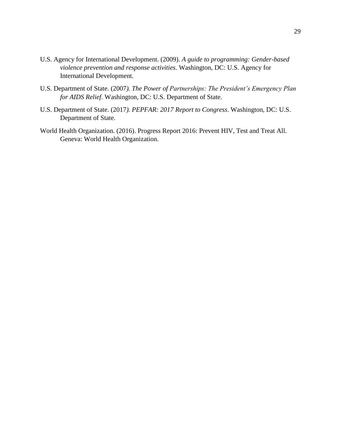- U.S. Agency for International Development. (2009). *A guide to programming: Gender-based violence prevention and response activities*. Washington, DC: U.S. Agency for International Development.
- U.S. Department of State. (2007*). The Power of Partnerships: The President's Emergency Plan for AIDS Relief*. Washington, DC: U.S. Department of State.
- U.S. Department of State. (2017*). PEPFAR: 2017 Report to Congress*. Washington, DC: U.S. Department of State.
- World Health Organization. (2016). Progress Report 2016: Prevent HIV, Test and Treat All. Geneva: World Health Organization.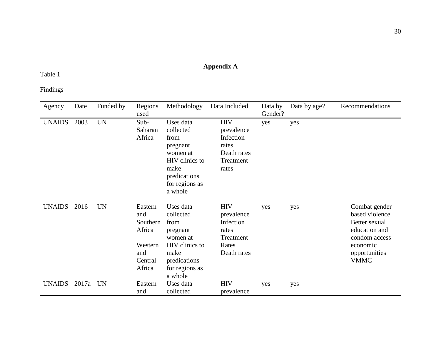# **Appendix A**

## Table 1

Findings

<span id="page-33-0"></span>

| Agency        | Date     | Funded by | Regions<br>used                                                             | Methodology                                                                                                                   | Data Included                                                                       | Data by<br>Gender? | Data by age? | Recommendations                                                                                                                |
|---------------|----------|-----------|-----------------------------------------------------------------------------|-------------------------------------------------------------------------------------------------------------------------------|-------------------------------------------------------------------------------------|--------------------|--------------|--------------------------------------------------------------------------------------------------------------------------------|
| <b>UNAIDS</b> | 2003     | <b>UN</b> | Sub-<br>Saharan<br>Africa                                                   | Uses data<br>collected<br>from<br>pregnant<br>women at<br>HIV clinics to<br>make<br>predications<br>for regions as<br>a whole | <b>HIV</b><br>prevalence<br>Infection<br>rates<br>Death rates<br>Treatment<br>rates | yes                | yes          |                                                                                                                                |
| <b>UNAIDS</b> | 2016     | <b>UN</b> | Eastern<br>and<br>Southern<br>Africa<br>Western<br>and<br>Central<br>Africa | Uses data<br>collected<br>from<br>pregnant<br>women at<br>HIV clinics to<br>make<br>predications<br>for regions as<br>a whole | <b>HIV</b><br>prevalence<br>Infection<br>rates<br>Treatment<br>Rates<br>Death rates | yes                | yes          | Combat gender<br>based violence<br>Better sexual<br>education and<br>condom access<br>economic<br>opportunities<br><b>VMMC</b> |
| <b>UNAIDS</b> | 2017a UN |           | Eastern<br>and                                                              | Uses data<br>collected                                                                                                        | <b>HIV</b><br>prevalence                                                            | yes                | yes          |                                                                                                                                |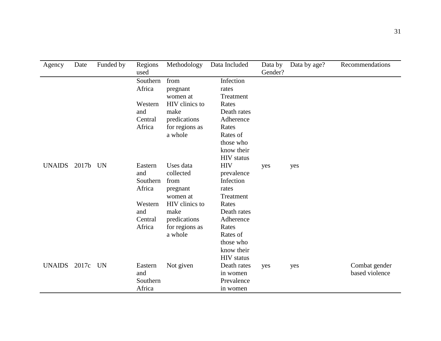| Agency        | Date     | Funded by | Regions<br>used    | Methodology                    | Data Included                   | Data by<br>Gender? | Data by age? | Recommendations |
|---------------|----------|-----------|--------------------|--------------------------------|---------------------------------|--------------------|--------------|-----------------|
|               |          |           | Southern<br>Africa | from<br>pregnant<br>women at   | Infection<br>rates<br>Treatment |                    |              |                 |
|               |          |           | Western<br>and     | HIV clinics to<br>make         | Rates<br>Death rates            |                    |              |                 |
|               |          |           | Central            | predications                   | Adherence                       |                    |              |                 |
|               |          |           | Africa             | for regions as<br>a whole      | Rates                           |                    |              |                 |
|               |          |           |                    |                                | Rates of<br>those who           |                    |              |                 |
|               |          |           |                    |                                | know their                      |                    |              |                 |
| <b>UNAIDS</b> | 2017b UN |           | Eastern            | Uses data                      | <b>HIV</b> status<br><b>HIV</b> | yes                | yes          |                 |
|               |          |           | and                | collected                      | prevalence                      |                    |              |                 |
|               |          |           | Southern           | from                           | Infection                       |                    |              |                 |
|               |          |           | Africa             | pregnant<br>women at           | rates<br>Treatment              |                    |              |                 |
|               |          |           | Western            | HIV clinics to                 | Rates                           |                    |              |                 |
|               |          |           | and                | make                           | Death rates                     |                    |              |                 |
|               |          |           | Central<br>Africa  | predications<br>for regions as | Adherence<br>Rates              |                    |              |                 |
|               |          |           |                    | a whole                        | Rates of                        |                    |              |                 |
|               |          |           |                    |                                | those who                       |                    |              |                 |
|               |          |           |                    |                                | know their<br><b>HIV</b> status |                    |              |                 |
| <b>UNAIDS</b> | 2017c UN |           | Eastern            | Not given                      | Death rates                     | yes                | yes          | Combat gender   |
|               |          |           | and                |                                | in women                        |                    |              | based violence  |
|               |          |           | Southern<br>Africa |                                | Prevalence<br>in women          |                    |              |                 |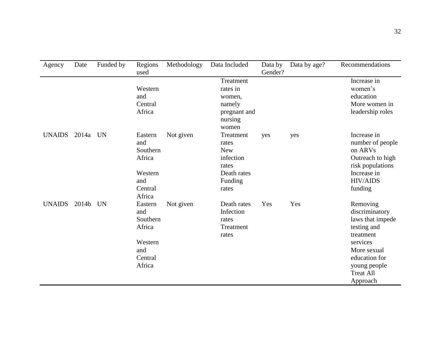| Agency        | Date     | Funded by | Regions<br>used                                                             | Methodology | Data Included                                                                             | Data by<br>Gender? | Data by age? | Recommendations                                                                                                                                                        |
|---------------|----------|-----------|-----------------------------------------------------------------------------|-------------|-------------------------------------------------------------------------------------------|--------------------|--------------|------------------------------------------------------------------------------------------------------------------------------------------------------------------------|
|               |          |           | Western<br>and<br>Central<br>Africa                                         |             | Treatment<br>rates in<br>women,<br>namely<br>pregnant and<br>nursing<br>women             |                    |              | Increase in<br>women's<br>education<br>More women in<br>leadership roles                                                                                               |
| <b>UNAIDS</b> | 2014a UN |           | Eastern<br>and<br>Southern<br>Africa<br>Western<br>and<br>Central<br>Africa | Not given   | Treatment<br>rates<br><b>New</b><br>infection<br>rates<br>Death rates<br>Funding<br>rates | yes                | yes          | Increase in<br>number of people<br>on ARVs<br>Outreach to high<br>risk populations<br>Increase in<br><b>HIV/AIDS</b><br>funding                                        |
| <b>UNAIDS</b> | 2014b    | UN        | Eastern<br>and<br>Southern<br>Africa<br>Western<br>and<br>Central<br>Africa | Not given   | Death rates<br>Infection<br>rates<br>Treatment<br>rates                                   | Yes                | Yes          | Removing<br>discriminatory<br>laws that impede<br>testing and<br>treatment<br>services<br>More sexual<br>education for<br>young people<br><b>Treat All</b><br>Approach |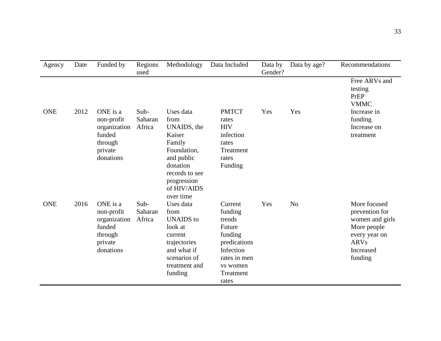| Agency     | Date | Funded by                                                                           | Regions<br>used           | Methodology                                                                                                                                                | Data Included                                                                                                                    | Data by<br>Gender? | Data by age?   | Recommendations                                                                                                          |
|------------|------|-------------------------------------------------------------------------------------|---------------------------|------------------------------------------------------------------------------------------------------------------------------------------------------------|----------------------------------------------------------------------------------------------------------------------------------|--------------------|----------------|--------------------------------------------------------------------------------------------------------------------------|
|            |      |                                                                                     |                           |                                                                                                                                                            |                                                                                                                                  |                    |                | Free ARVs and<br>testing<br>PrEP<br><b>VMMC</b>                                                                          |
| <b>ONE</b> | 2012 | ONE is a<br>non-profit<br>organization<br>funded<br>through<br>private<br>donations | Sub-<br>Saharan<br>Africa | Uses data<br>from<br>UNAIDS, the<br>Kaiser<br>Family<br>Foundation,<br>and public<br>donation<br>records to see<br>progression<br>of HIV/AIDS<br>over time | <b>PMTCT</b><br>rates<br><b>HIV</b><br>infection<br>rates<br>Treatment<br>rates<br>Funding                                       | Yes                | Yes            | Increase in<br>funding<br>Increase on<br>treatment                                                                       |
| <b>ONE</b> | 2016 | ONE is a<br>non-profit<br>organization<br>funded<br>through<br>private<br>donations | Sub-<br>Saharan<br>Africa | Uses data<br>from<br><b>UNAIDS</b> to<br>look at<br>current<br>trajectories<br>and what if<br>scenarios of<br>treatment and<br>funding                     | Current<br>funding<br>trends<br>Future<br>funding<br>predications<br>Infection<br>rates in men<br>vs women<br>Treatment<br>rates | Yes                | N <sub>o</sub> | More focused<br>prevention for<br>women and girls<br>More people<br>every year on<br><b>ARVs</b><br>Increased<br>funding |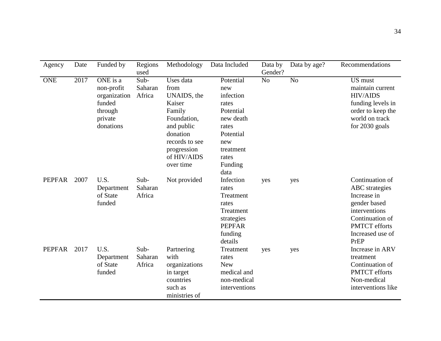| Agency        | Date | Funded by                                                                           | Regions<br>used           | Methodology                                                                                                                                                | Data Included                                                                                                                          | Data by<br>Gender? | Data by age?    | Recommendations                                                                                                                                                 |
|---------------|------|-------------------------------------------------------------------------------------|---------------------------|------------------------------------------------------------------------------------------------------------------------------------------------------------|----------------------------------------------------------------------------------------------------------------------------------------|--------------------|-----------------|-----------------------------------------------------------------------------------------------------------------------------------------------------------------|
| ONE           | 2017 | ONE is a<br>non-profit<br>organization<br>funded<br>through<br>private<br>donations | Sub-<br>Saharan<br>Africa | Uses data<br>from<br>UNAIDS, the<br>Kaiser<br>Family<br>Foundation,<br>and public<br>donation<br>records to see<br>progression<br>of HIV/AIDS<br>over time | Potential<br>new<br>infection<br>rates<br>Potential<br>new death<br>rates<br>Potential<br>new<br>treatment<br>rates<br>Funding<br>data | N <sub>0</sub>     | $\overline{No}$ | <b>US</b> must<br>maintain current<br><b>HIV/AIDS</b><br>funding levels in<br>order to keep the<br>world on track<br>for 2030 goals                             |
| <b>PEPFAR</b> | 2007 | U.S.<br>Department<br>of State<br>funded                                            | Sub-<br>Saharan<br>Africa | Not provided                                                                                                                                               | Infection<br>rates<br>Treatment<br>rates<br>Treatment<br>strategies<br><b>PEPFAR</b><br>funding<br>details                             | yes                | yes             | Continuation of<br><b>ABC</b> strategies<br>Increase in<br>gender based<br>interventions<br>Continuation of<br><b>PMTCT</b> efforts<br>Increased use of<br>PrEP |
| <b>PEPFAR</b> | 2017 | U.S.<br>Department<br>of State<br>funded                                            | Sub-<br>Saharan<br>Africa | Partnering<br>with<br>organizations<br>in target<br>countries<br>such as<br>ministries of                                                                  | Treatment<br>rates<br><b>New</b><br>medical and<br>non-medical<br>interventions                                                        | yes                | yes             | Increase in ARV<br>treatment<br>Continuation of<br><b>PMTCT</b> efforts<br>Non-medical<br>interventions like                                                    |